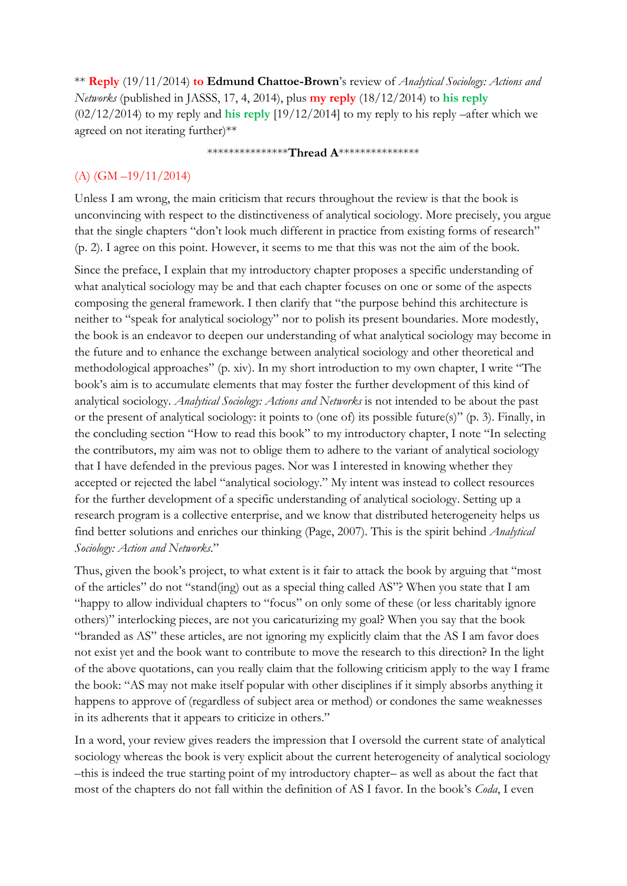\*\* **Reply** (19/11/2014) **to Edmund Chattoe-Brown**'s review of *Analytical Sociology: Actions and Networks* (published in JASSS, 17, 4, 2014), plus **my reply** (18/12/2014) to **his reply** (02/12/2014) to my reply and **his reply** [19/12/2014] to my reply to his reply –after which we agreed on not iterating further)\*\*

#### \*\*\*\*\*\*\*\*\*\*\*\*\*\*\***Thread A**\*\*\*\*\*\*\*\*\*\*\*\*\*\*\*

#### (A) (GM –19/11/2014)

Unless I am wrong, the main criticism that recurs throughout the review is that the book is unconvincing with respect to the distinctiveness of analytical sociology. More precisely, you argue that the single chapters "don't look much different in practice from existing forms of research" (p. 2). I agree on this point. However, it seems to me that this was not the aim of the book.

Since the preface, I explain that my introductory chapter proposes a specific understanding of what analytical sociology may be and that each chapter focuses on one or some of the aspects composing the general framework. I then clarify that "the purpose behind this architecture is neither to "speak for analytical sociology" nor to polish its present boundaries. More modestly, the book is an endeavor to deepen our understanding of what analytical sociology may become in the future and to enhance the exchange between analytical sociology and other theoretical and methodological approaches" (p. xiv). In my short introduction to my own chapter, I write "The book's aim is to accumulate elements that may foster the further development of this kind of analytical sociology. *Analytical Sociology: Actions and Networks* is not intended to be about the past or the present of analytical sociology: it points to (one of) its possible future(s)" (p. 3). Finally, in the concluding section "How to read this book" to my introductory chapter, I note "In selecting the contributors, my aim was not to oblige them to adhere to the variant of analytical sociology that I have defended in the previous pages. Nor was I interested in knowing whether they accepted or rejected the label "analytical sociology." My intent was instead to collect resources for the further development of a specific understanding of analytical sociology. Setting up a research program is a collective enterprise, and we know that distributed heterogeneity helps us find better solutions and enriches our thinking (Page, 2007). This is the spirit behind *Analytical Sociology: Action and Networks*."

Thus, given the book's project, to what extent is it fair to attack the book by arguing that "most of the articles" do not "stand(ing) out as a special thing called AS"? When you state that I am "happy to allow individual chapters to "focus" on only some of these (or less charitably ignore others)" interlocking pieces, are not you caricaturizing my goal? When you say that the book "branded as AS" these articles, are not ignoring my explicitly claim that the AS I am favor does not exist yet and the book want to contribute to move the research to this direction? In the light of the above quotations, can you really claim that the following criticism apply to the way I frame the book: "AS may not make itself popular with other disciplines if it simply absorbs anything it happens to approve of (regardless of subject area or method) or condones the same weaknesses in its adherents that it appears to criticize in others."

In a word, your review gives readers the impression that I oversold the current state of analytical sociology whereas the book is very explicit about the current heterogeneity of analytical sociology –this is indeed the true starting point of my introductory chapter– as well as about the fact that most of the chapters do not fall within the definition of AS I favor. In the book's *Coda*, I even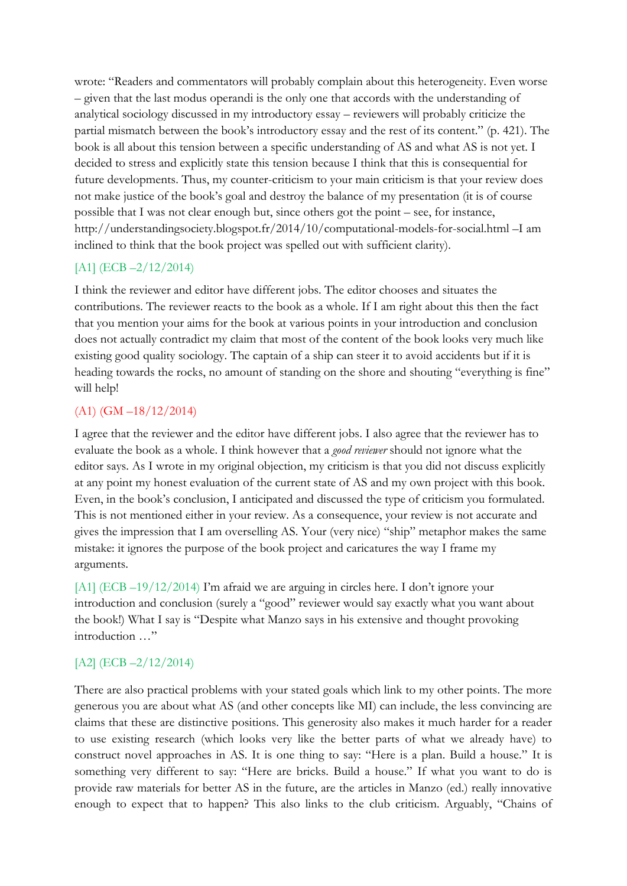wrote: "Readers and commentators will probably complain about this heterogeneity. Even worse – given that the last modus operandi is the only one that accords with the understanding of analytical sociology discussed in my introductory essay – reviewers will probably criticize the partial mismatch between the book's introductory essay and the rest of its content." (p. 421). The book is all about this tension between a specific understanding of AS and what AS is not yet. I decided to stress and explicitly state this tension because I think that this is consequential for future developments. Thus, my counter-criticism to your main criticism is that your review does not make justice of the book's goal and destroy the balance of my presentation (it is of course possible that I was not clear enough but, since others got the point – see, for instance, http://understandingsociety.blogspot.fr/2014/10/computational-models-for-social.html –I am inclined to think that the book project was spelled out with sufficient clarity).

## [A1] (ECB -2/12/2014)

I think the reviewer and editor have different jobs. The editor chooses and situates the contributions. The reviewer reacts to the book as a whole. If I am right about this then the fact that you mention your aims for the book at various points in your introduction and conclusion does not actually contradict my claim that most of the content of the book looks very much like existing good quality sociology. The captain of a ship can steer it to avoid accidents but if it is heading towards the rocks, no amount of standing on the shore and shouting "everything is fine" will help!

## (A1) (GM –18/12/2014)

I agree that the reviewer and the editor have different jobs. I also agree that the reviewer has to evaluate the book as a whole. I think however that a *good reviewer* should not ignore what the editor says. As I wrote in my original objection, my criticism is that you did not discuss explicitly at any point my honest evaluation of the current state of AS and my own project with this book. Even, in the book's conclusion, I anticipated and discussed the type of criticism you formulated. This is not mentioned either in your review. As a consequence, your review is not accurate and gives the impression that I am overselling AS. Your (very nice) "ship" metaphor makes the same mistake: it ignores the purpose of the book project and caricatures the way I frame my arguments.

[A1] (ECB –19/12/2014) I'm afraid we are arguing in circles here. I don't ignore your introduction and conclusion (surely a "good" reviewer would say exactly what you want about the book!) What I say is "Despite what Manzo says in his extensive and thought provoking introduction …"

# [A2] (ECB -2/12/2014)

There are also practical problems with your stated goals which link to my other points. The more generous you are about what AS (and other concepts like MI) can include, the less convincing are claims that these are distinctive positions. This generosity also makes it much harder for a reader to use existing research (which looks very like the better parts of what we already have) to construct novel approaches in AS. It is one thing to say: "Here is a plan. Build a house." It is something very different to say: "Here are bricks. Build a house." If what you want to do is provide raw materials for better AS in the future, are the articles in Manzo (ed.) really innovative enough to expect that to happen? This also links to the club criticism. Arguably, "Chains of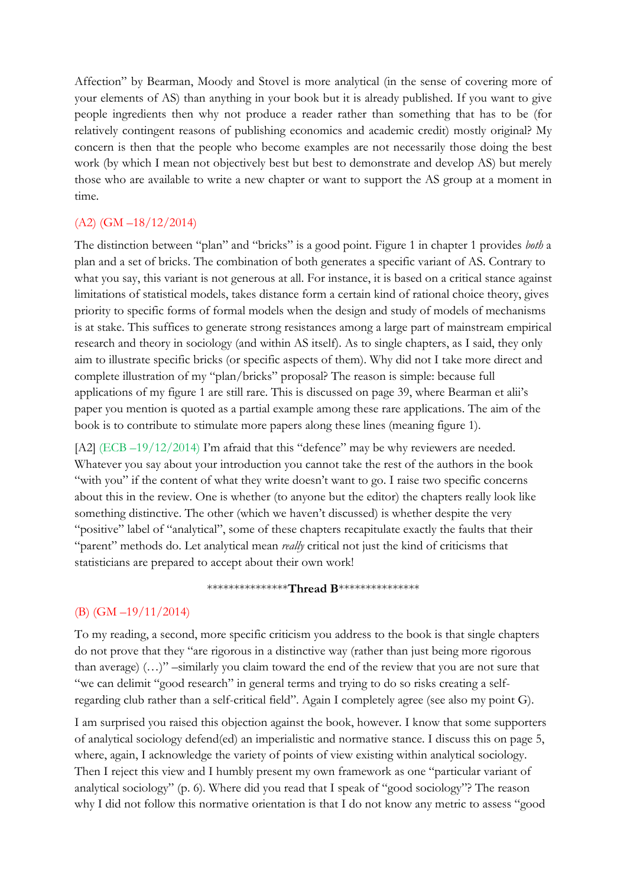Affection" by Bearman, Moody and Stovel is more analytical (in the sense of covering more of your elements of AS) than anything in your book but it is already published. If you want to give people ingredients then why not produce a reader rather than something that has to be (for relatively contingent reasons of publishing economics and academic credit) mostly original? My concern is then that the people who become examples are not necessarily those doing the best work (by which I mean not objectively best but best to demonstrate and develop AS) but merely those who are available to write a new chapter or want to support the AS group at a moment in time.

#### (A2) (GM –18/12/2014)

The distinction between "plan" and "bricks" is a good point. Figure 1 in chapter 1 provides *both* a plan and a set of bricks. The combination of both generates a specific variant of AS. Contrary to what you say, this variant is not generous at all. For instance, it is based on a critical stance against limitations of statistical models, takes distance form a certain kind of rational choice theory, gives priority to specific forms of formal models when the design and study of models of mechanisms is at stake. This suffices to generate strong resistances among a large part of mainstream empirical research and theory in sociology (and within AS itself). As to single chapters, as I said, they only aim to illustrate specific bricks (or specific aspects of them). Why did not I take more direct and complete illustration of my "plan/bricks" proposal? The reason is simple: because full applications of my figure 1 are still rare. This is discussed on page 39, where Bearman et alii's paper you mention is quoted as a partial example among these rare applications. The aim of the book is to contribute to stimulate more papers along these lines (meaning figure 1).

[A2] (ECB –19/12/2014) I'm afraid that this "defence" may be why reviewers are needed. Whatever you say about your introduction you cannot take the rest of the authors in the book "with you" if the content of what they write doesn't want to go. I raise two specific concerns about this in the review. One is whether (to anyone but the editor) the chapters really look like something distinctive. The other (which we haven't discussed) is whether despite the very "positive" label of "analytical", some of these chapters recapitulate exactly the faults that their "parent" methods do. Let analytical mean *really* critical not just the kind of criticisms that statisticians are prepared to accept about their own work!

#### \*\*\*\*\*\*\*\*\*\*\*\*\*\*\***Thread B**\*\*\*\*\*\*\*\*\*\*\*\*\*\*\*

#### (B) (GM –19/11/2014)

To my reading, a second, more specific criticism you address to the book is that single chapters do not prove that they "are rigorous in a distinctive way (rather than just being more rigorous than average) (…)" –similarly you claim toward the end of the review that you are not sure that "we can delimit "good research" in general terms and trying to do so risks creating a selfregarding club rather than a self-critical field". Again I completely agree (see also my point G).

I am surprised you raised this objection against the book, however. I know that some supporters of analytical sociology defend(ed) an imperialistic and normative stance. I discuss this on page 5, where, again, I acknowledge the variety of points of view existing within analytical sociology. Then I reject this view and I humbly present my own framework as one "particular variant of analytical sociology" (p. 6). Where did you read that I speak of "good sociology"? The reason why I did not follow this normative orientation is that I do not know any metric to assess "good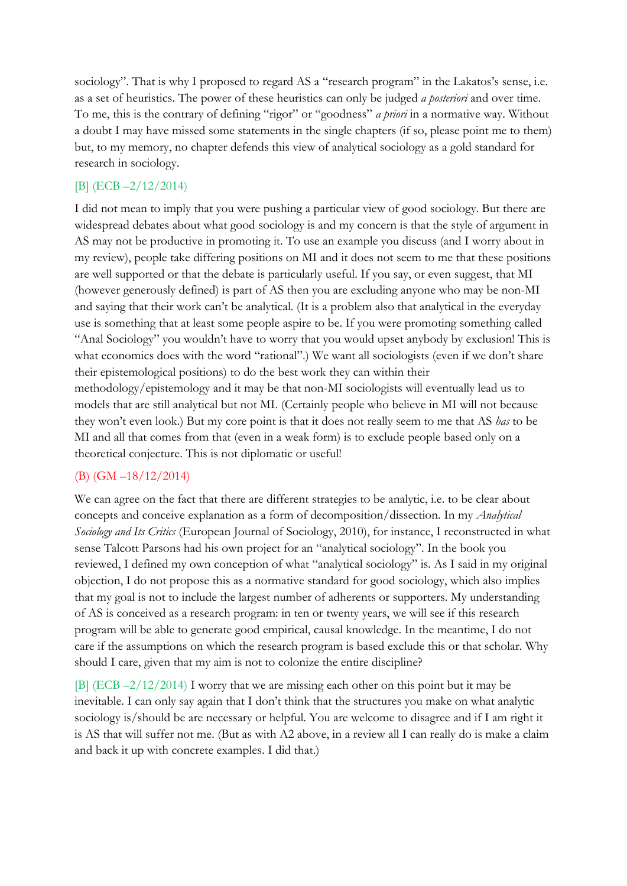sociology". That is why I proposed to regard AS a "research program" in the Lakatos's sense, i.e. as a set of heuristics. The power of these heuristics can only be judged *a posteriori* and over time. To me, this is the contrary of defining "rigor" or "goodness" *a priori* in a normative way. Without a doubt I may have missed some statements in the single chapters (if so, please point me to them) but, to my memory, no chapter defends this view of analytical sociology as a gold standard for research in sociology.

# [B] (ECB –2/12/2014)

I did not mean to imply that you were pushing a particular view of good sociology. But there are widespread debates about what good sociology is and my concern is that the style of argument in AS may not be productive in promoting it. To use an example you discuss (and I worry about in my review), people take differing positions on MI and it does not seem to me that these positions are well supported or that the debate is particularly useful. If you say, or even suggest, that MI (however generously defined) is part of AS then you are excluding anyone who may be non-MI and saying that their work can't be analytical. (It is a problem also that analytical in the everyday use is something that at least some people aspire to be. If you were promoting something called "Anal Sociology" you wouldn't have to worry that you would upset anybody by exclusion! This is what economics does with the word "rational".) We want all sociologists (even if we don't share their epistemological positions) to do the best work they can within their methodology/epistemology and it may be that non-MI sociologists will eventually lead us to models that are still analytical but not MI. (Certainly people who believe in MI will not because they won't even look.) But my core point is that it does not really seem to me that AS *has* to be MI and all that comes from that (even in a weak form) is to exclude people based only on a theoretical conjecture. This is not diplomatic or useful!

# (B) (GM –18/12/2014)

We can agree on the fact that there are different strategies to be analytic, i.e. to be clear about concepts and conceive explanation as a form of decomposition/dissection. In my *Analytical Sociology and Its Critics* (European Journal of Sociology, 2010), for instance, I reconstructed in what sense Talcott Parsons had his own project for an "analytical sociology". In the book you reviewed, I defined my own conception of what "analytical sociology" is. As I said in my original objection, I do not propose this as a normative standard for good sociology, which also implies that my goal is not to include the largest number of adherents or supporters. My understanding of AS is conceived as a research program: in ten or twenty years, we will see if this research program will be able to generate good empirical, causal knowledge. In the meantime, I do not care if the assumptions on which the research program is based exclude this or that scholar. Why should I care, given that my aim is not to colonize the entire discipline?

[B] (ECB –2/12/2014) I worry that we are missing each other on this point but it may be inevitable. I can only say again that I don't think that the structures you make on what analytic sociology is/should be are necessary or helpful. You are welcome to disagree and if I am right it is AS that will suffer not me. (But as with A2 above, in a review all I can really do is make a claim and back it up with concrete examples. I did that.)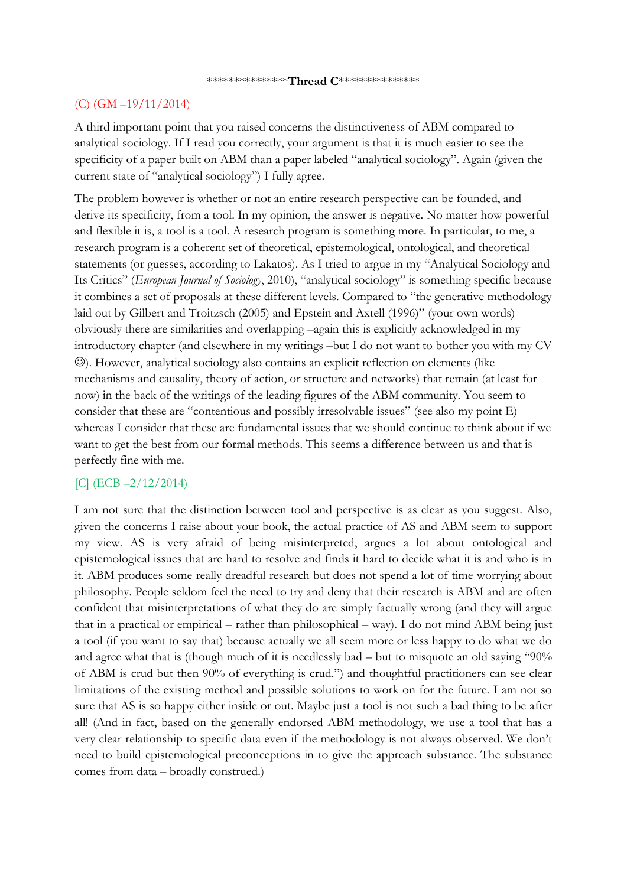#### \*\*\*\*\*\*\*\*\*\*\*\*\*\*\***Thread C**\*\*\*\*\*\*\*\*\*\*\*\*\*\*\*

#### (C) (GM –19/11/2014)

A third important point that you raised concerns the distinctiveness of ABM compared to analytical sociology. If I read you correctly, your argument is that it is much easier to see the specificity of a paper built on ABM than a paper labeled "analytical sociology". Again (given the current state of "analytical sociology") I fully agree.

The problem however is whether or not an entire research perspective can be founded, and derive its specificity, from a tool. In my opinion, the answer is negative. No matter how powerful and flexible it is, a tool is a tool. A research program is something more. In particular, to me, a research program is a coherent set of theoretical, epistemological, ontological, and theoretical statements (or guesses, according to Lakatos). As I tried to argue in my "Analytical Sociology and Its Critics" (*European Journal of Sociology*, 2010), "analytical sociology" is something specific because it combines a set of proposals at these different levels. Compared to "the generative methodology laid out by Gilbert and Troitzsch (2005) and Epstein and Axtell (1996)" (your own words) obviously there are similarities and overlapping –again this is explicitly acknowledged in my introductory chapter (and elsewhere in my writings –but I do not want to bother you with my CV ). However, analytical sociology also contains an explicit reflection on elements (like mechanisms and causality, theory of action, or structure and networks) that remain (at least for now) in the back of the writings of the leading figures of the ABM community. You seem to consider that these are "contentious and possibly irresolvable issues" (see also my point E) whereas I consider that these are fundamental issues that we should continue to think about if we want to get the best from our formal methods. This seems a difference between us and that is perfectly fine with me.

## [C] (ECB –2/12/2014)

I am not sure that the distinction between tool and perspective is as clear as you suggest. Also, given the concerns I raise about your book, the actual practice of AS and ABM seem to support my view. AS is very afraid of being misinterpreted, argues a lot about ontological and epistemological issues that are hard to resolve and finds it hard to decide what it is and who is in it. ABM produces some really dreadful research but does not spend a lot of time worrying about philosophy. People seldom feel the need to try and deny that their research is ABM and are often confident that misinterpretations of what they do are simply factually wrong (and they will argue that in a practical or empirical – rather than philosophical – way). I do not mind ABM being just a tool (if you want to say that) because actually we all seem more or less happy to do what we do and agree what that is (though much of it is needlessly bad – but to misquote an old saying "90% of ABM is crud but then 90% of everything is crud.") and thoughtful practitioners can see clear limitations of the existing method and possible solutions to work on for the future. I am not so sure that AS is so happy either inside or out. Maybe just a tool is not such a bad thing to be after all! (And in fact, based on the generally endorsed ABM methodology, we use a tool that has a very clear relationship to specific data even if the methodology is not always observed. We don't need to build epistemological preconceptions in to give the approach substance. The substance comes from data – broadly construed.)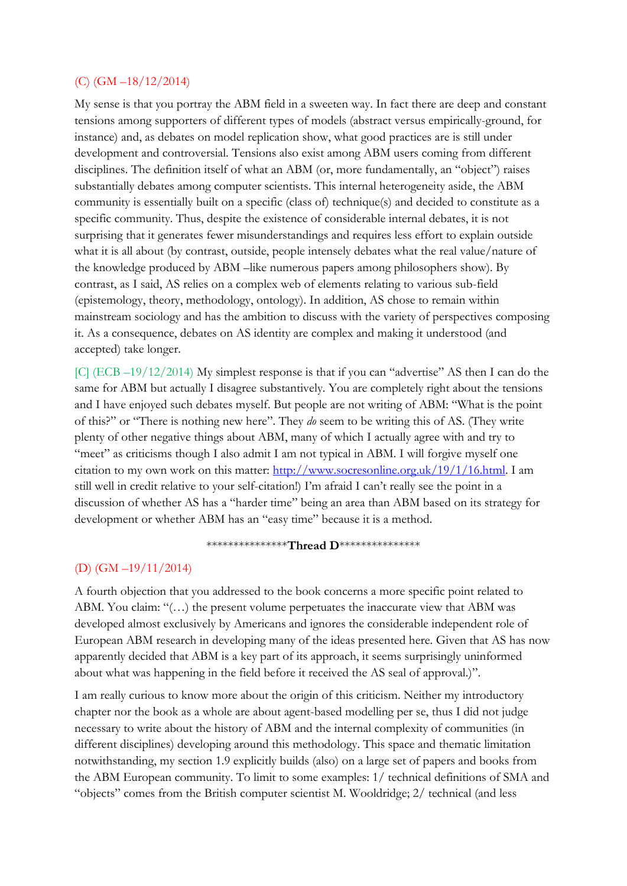#### (C) (GM –18/12/2014)

My sense is that you portray the ABM field in a sweeten way. In fact there are deep and constant tensions among supporters of different types of models (abstract versus empirically-ground, for instance) and, as debates on model replication show, what good practices are is still under development and controversial. Tensions also exist among ABM users coming from different disciplines. The definition itself of what an ABM (or, more fundamentally, an "object") raises substantially debates among computer scientists. This internal heterogeneity aside, the ABM community is essentially built on a specific (class of) technique(s) and decided to constitute as a specific community. Thus, despite the existence of considerable internal debates, it is not surprising that it generates fewer misunderstandings and requires less effort to explain outside what it is all about (by contrast, outside, people intensely debates what the real value/nature of the knowledge produced by ABM –like numerous papers among philosophers show). By contrast, as I said, AS relies on a complex web of elements relating to various sub-field (epistemology, theory, methodology, ontology). In addition, AS chose to remain within mainstream sociology and has the ambition to discuss with the variety of perspectives composing it. As a consequence, debates on AS identity are complex and making it understood (and accepted) take longer.

[C] (ECB –19/12/2014) My simplest response is that if you can "advertise" AS then I can do the same for ABM but actually I disagree substantively. You are completely right about the tensions and I have enjoyed such debates myself. But people are not writing of ABM: "What is the point of this?" or "There is nothing new here". They *do* seem to be writing this of AS. (They write plenty of other negative things about ABM, many of which I actually agree with and try to "meet" as criticisms though I also admit I am not typical in ABM. I will forgive myself one citation to my own work on this matter: [http://www.socresonline.org.uk/19/1/16.html.](http://www.socresonline.org.uk/19/1/16.html) I am still well in credit relative to your self-citation!) I'm afraid I can't really see the point in a discussion of whether AS has a "harder time" being an area than ABM based on its strategy for development or whether ABM has an "easy time" because it is a method.

#### \*\*\*\*\*\*\*\*\*\*\*\*\*\*\***Thread D**\*\*\*\*\*\*\*\*\*\*\*\*\*\*\*

#### (D) (GM –19/11/2014)

A fourth objection that you addressed to the book concerns a more specific point related to ABM. You claim: "(...) the present volume perpetuates the inaccurate view that ABM was developed almost exclusively by Americans and ignores the considerable independent role of European ABM research in developing many of the ideas presented here. Given that AS has now apparently decided that ABM is a key part of its approach, it seems surprisingly uninformed about what was happening in the field before it received the AS seal of approval.)".

I am really curious to know more about the origin of this criticism. Neither my introductory chapter nor the book as a whole are about agent-based modelling per se, thus I did not judge necessary to write about the history of ABM and the internal complexity of communities (in different disciplines) developing around this methodology. This space and thematic limitation notwithstanding, my section 1.9 explicitly builds (also) on a large set of papers and books from the ABM European community. To limit to some examples: 1/ technical definitions of SMA and "objects" comes from the British computer scientist M. Wooldridge; 2/ technical (and less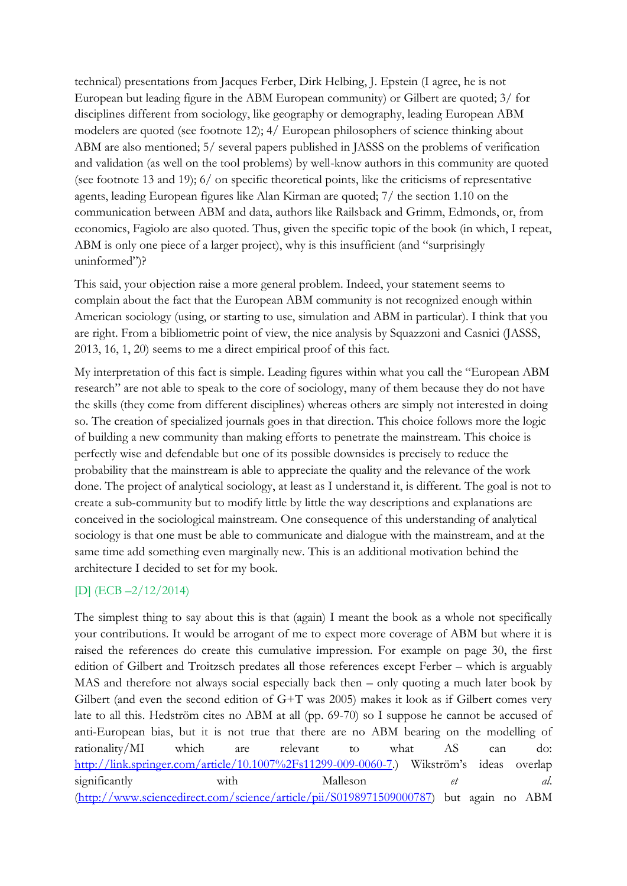technical) presentations from Jacques Ferber, Dirk Helbing, J. Epstein (I agree, he is not European but leading figure in the ABM European community) or Gilbert are quoted; 3/ for disciplines different from sociology, like geography or demography, leading European ABM modelers are quoted (see footnote 12); 4/ European philosophers of science thinking about ABM are also mentioned; 5/ several papers published in JASSS on the problems of verification and validation (as well on the tool problems) by well-know authors in this community are quoted (see footnote 13 and 19); 6/ on specific theoretical points, like the criticisms of representative agents, leading European figures like Alan Kirman are quoted; 7/ the section 1.10 on the communication between ABM and data, authors like Railsback and Grimm, Edmonds, or, from economics, Fagiolo are also quoted. Thus, given the specific topic of the book (in which, I repeat, ABM is only one piece of a larger project), why is this insufficient (and "surprisingly uninformed")?

This said, your objection raise a more general problem. Indeed, your statement seems to complain about the fact that the European ABM community is not recognized enough within American sociology (using, or starting to use, simulation and ABM in particular). I think that you are right. From a bibliometric point of view, the nice analysis by Squazzoni and Casnici (JASSS, 2013, 16, 1, 20) seems to me a direct empirical proof of this fact.

My interpretation of this fact is simple. Leading figures within what you call the "European ABM research" are not able to speak to the core of sociology, many of them because they do not have the skills (they come from different disciplines) whereas others are simply not interested in doing so. The creation of specialized journals goes in that direction. This choice follows more the logic of building a new community than making efforts to penetrate the mainstream. This choice is perfectly wise and defendable but one of its possible downsides is precisely to reduce the probability that the mainstream is able to appreciate the quality and the relevance of the work done. The project of analytical sociology, at least as I understand it, is different. The goal is not to create a sub-community but to modify little by little the way descriptions and explanations are conceived in the sociological mainstream. One consequence of this understanding of analytical sociology is that one must be able to communicate and dialogue with the mainstream, and at the same time add something even marginally new. This is an additional motivation behind the architecture I decided to set for my book.

## [D] (ECB –2/12/2014)

The simplest thing to say about this is that (again) I meant the book as a whole not specifically your contributions. It would be arrogant of me to expect more coverage of ABM but where it is raised the references do create this cumulative impression. For example on page 30, the first edition of Gilbert and Troitzsch predates all those references except Ferber – which is arguably MAS and therefore not always social especially back then – only quoting a much later book by Gilbert (and even the second edition of G+T was 2005) makes it look as if Gilbert comes very late to all this. Hedström cites no ABM at all (pp. 69-70) so I suppose he cannot be accused of anti-European bias, but it is not true that there are no ABM bearing on the modelling of rationality/MI which are relevant to what AS can do: [http://link.springer.com/article/10.1007%2Fs11299-009-0060-7.](http://link.springer.com/article/10.1007%2Fs11299-009-0060-7)) Wikström's ideas overlap significantly with Malleson *et al.* [\(http://www.sciencedirect.com/science/article/pii/S0198971509000787\)](http://www.sciencedirect.com/science/article/pii/S0198971509000787) but again no ABM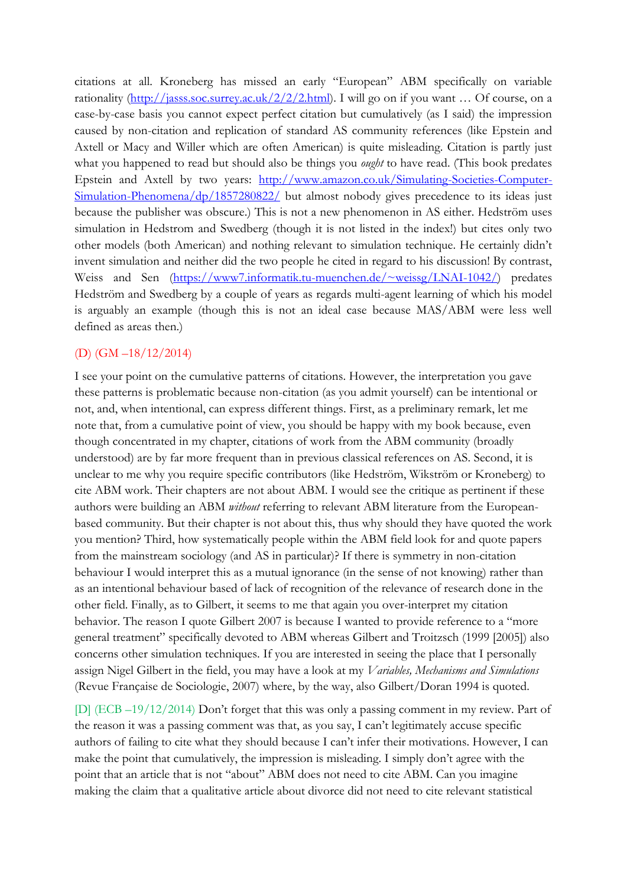citations at all. Kroneberg has missed an early "European" ABM specifically on variable rationality [\(http://jasss.soc.surrey.ac.uk/2/2/2.html](http://jasss.soc.surrey.ac.uk/2/2/2.html)). I will go on if you want ... Of course, on a case-by-case basis you cannot expect perfect citation but cumulatively (as I said) the impression caused by non-citation and replication of standard AS community references (like Epstein and Axtell or Macy and Willer which are often American) is quite misleading. Citation is partly just what you happened to read but should also be things you *ought* to have read. (This book predates Epstein and Axtell by two years: [http://www.amazon.co.uk/Simulating-Societies-Computer-](http://www.amazon.co.uk/Simulating-Societies-Computer-Simulation-Phenomena/dp/1857280822/)[Simulation-Phenomena/dp/1857280822/](http://www.amazon.co.uk/Simulating-Societies-Computer-Simulation-Phenomena/dp/1857280822/) but almost nobody gives precedence to its ideas just because the publisher was obscure.) This is not a new phenomenon in AS either. Hedström uses simulation in Hedstrom and Swedberg (though it is not listed in the index!) but cites only two other models (both American) and nothing relevant to simulation technique. He certainly didn't invent simulation and neither did the two people he cited in regard to his discussion! By contrast, Weiss and Sen [\(https://www7.informatik.tu-muenchen.de/~weissg/LNAI-1042/\)](https://www7.informatik.tu-muenchen.de/~weissg/LNAI-1042/) predates Hedström and Swedberg by a couple of years as regards multi-agent learning of which his model is arguably an example (though this is not an ideal case because MAS/ABM were less well defined as areas then.)

## (D) (GM –18/12/2014)

I see your point on the cumulative patterns of citations. However, the interpretation you gave these patterns is problematic because non-citation (as you admit yourself) can be intentional or not, and, when intentional, can express different things. First, as a preliminary remark, let me note that, from a cumulative point of view, you should be happy with my book because, even though concentrated in my chapter, citations of work from the ABM community (broadly understood) are by far more frequent than in previous classical references on AS. Second, it is unclear to me why you require specific contributors (like Hedström, Wikström or Kroneberg) to cite ABM work. Their chapters are not about ABM. I would see the critique as pertinent if these authors were building an ABM *without* referring to relevant ABM literature from the Europeanbased community. But their chapter is not about this, thus why should they have quoted the work you mention? Third, how systematically people within the ABM field look for and quote papers from the mainstream sociology (and AS in particular)? If there is symmetry in non-citation behaviour I would interpret this as a mutual ignorance (in the sense of not knowing) rather than as an intentional behaviour based of lack of recognition of the relevance of research done in the other field. Finally, as to Gilbert, it seems to me that again you over-interpret my citation behavior. The reason I quote Gilbert 2007 is because I wanted to provide reference to a "more general treatment" specifically devoted to ABM whereas Gilbert and Troitzsch (1999 [2005]) also concerns other simulation techniques. If you are interested in seeing the place that I personally assign Nigel Gilbert in the field, you may have a look at my *Variables, Mechanisms and Simulations* (Revue Française de Sociologie, 2007) where, by the way, also Gilbert/Doran 1994 is quoted.

[D] (ECB –19/12/2014) Don't forget that this was only a passing comment in my review. Part of the reason it was a passing comment was that, as you say, I can't legitimately accuse specific authors of failing to cite what they should because I can't infer their motivations. However, I can make the point that cumulatively, the impression is misleading. I simply don't agree with the point that an article that is not "about" ABM does not need to cite ABM. Can you imagine making the claim that a qualitative article about divorce did not need to cite relevant statistical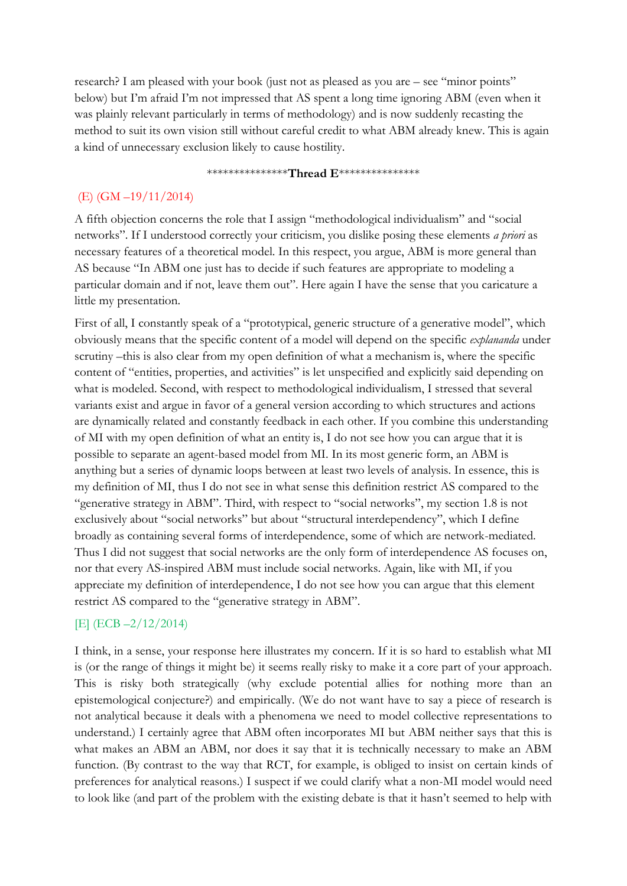research? I am pleased with your book (just not as pleased as you are – see "minor points" below) but I'm afraid I'm not impressed that AS spent a long time ignoring ABM (even when it was plainly relevant particularly in terms of methodology) and is now suddenly recasting the method to suit its own vision still without careful credit to what ABM already knew. This is again a kind of unnecessary exclusion likely to cause hostility.

#### \*\*\*\*\*\*\*\*\*\*\*\*\*\*\***Thread E**\*\*\*\*\*\*\*\*\*\*\*\*\*\*\*

# (E) (GM –19/11/2014)

A fifth objection concerns the role that I assign "methodological individualism" and "social networks". If I understood correctly your criticism, you dislike posing these elements *a priori* as necessary features of a theoretical model. In this respect, you argue, ABM is more general than AS because "In ABM one just has to decide if such features are appropriate to modeling a particular domain and if not, leave them out". Here again I have the sense that you caricature a little my presentation.

First of all, I constantly speak of a "prototypical, generic structure of a generative model", which obviously means that the specific content of a model will depend on the specific *explananda* under scrutiny –this is also clear from my open definition of what a mechanism is, where the specific content of "entities, properties, and activities" is let unspecified and explicitly said depending on what is modeled. Second, with respect to methodological individualism, I stressed that several variants exist and argue in favor of a general version according to which structures and actions are dynamically related and constantly feedback in each other. If you combine this understanding of MI with my open definition of what an entity is, I do not see how you can argue that it is possible to separate an agent-based model from MI. In its most generic form, an ABM is anything but a series of dynamic loops between at least two levels of analysis. In essence, this is my definition of MI, thus I do not see in what sense this definition restrict AS compared to the "generative strategy in ABM". Third, with respect to "social networks", my section 1.8 is not exclusively about "social networks" but about "structural interdependency", which I define broadly as containing several forms of interdependence, some of which are network-mediated. Thus I did not suggest that social networks are the only form of interdependence AS focuses on, nor that every AS-inspired ABM must include social networks. Again, like with MI, if you appreciate my definition of interdependence, I do not see how you can argue that this element restrict AS compared to the "generative strategy in ABM".

## [E] (ECB –2/12/2014)

I think, in a sense, your response here illustrates my concern. If it is so hard to establish what MI is (or the range of things it might be) it seems really risky to make it a core part of your approach. This is risky both strategically (why exclude potential allies for nothing more than an epistemological conjecture?) and empirically. (We do not want have to say a piece of research is not analytical because it deals with a phenomena we need to model collective representations to understand.) I certainly agree that ABM often incorporates MI but ABM neither says that this is what makes an ABM an ABM, nor does it say that it is technically necessary to make an ABM function. (By contrast to the way that RCT, for example, is obliged to insist on certain kinds of preferences for analytical reasons.) I suspect if we could clarify what a non-MI model would need to look like (and part of the problem with the existing debate is that it hasn't seemed to help with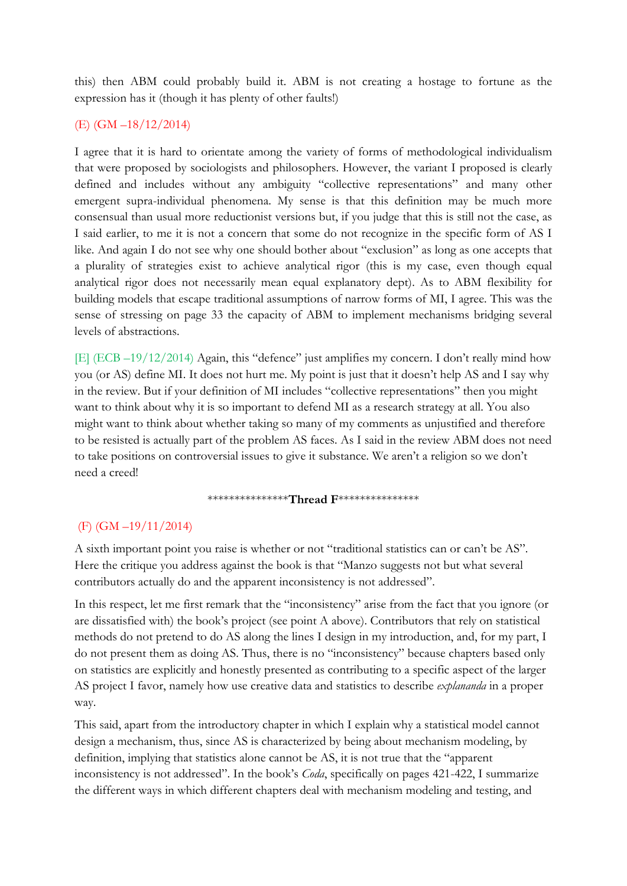this) then ABM could probably build it. ABM is not creating a hostage to fortune as the expression has it (though it has plenty of other faults!)

## (E) (GM –18/12/2014)

I agree that it is hard to orientate among the variety of forms of methodological individualism that were proposed by sociologists and philosophers. However, the variant I proposed is clearly defined and includes without any ambiguity "collective representations" and many other emergent supra-individual phenomena. My sense is that this definition may be much more consensual than usual more reductionist versions but, if you judge that this is still not the case, as I said earlier, to me it is not a concern that some do not recognize in the specific form of AS I like. And again I do not see why one should bother about "exclusion" as long as one accepts that a plurality of strategies exist to achieve analytical rigor (this is my case, even though equal analytical rigor does not necessarily mean equal explanatory dept). As to ABM flexibility for building models that escape traditional assumptions of narrow forms of MI, I agree. This was the sense of stressing on page 33 the capacity of ABM to implement mechanisms bridging several levels of abstractions.

[E] (ECB –19/12/2014) Again, this "defence" just amplifies my concern. I don't really mind how you (or AS) define MI. It does not hurt me. My point is just that it doesn't help AS and I say why in the review. But if your definition of MI includes "collective representations" then you might want to think about why it is so important to defend MI as a research strategy at all. You also might want to think about whether taking so many of my comments as unjustified and therefore to be resisted is actually part of the problem AS faces. As I said in the review ABM does not need to take positions on controversial issues to give it substance. We aren't a religion so we don't need a creed!

\*\*\*\*\*\*\*\*\*\*\*\*\*\*\***Thread F**\*\*\*\*\*\*\*\*\*\*\*\*\*\*\*

## (F) (GM –19/11/2014)

A sixth important point you raise is whether or not "traditional statistics can or can't be AS". Here the critique you address against the book is that "Manzo suggests not but what several contributors actually do and the apparent inconsistency is not addressed".

In this respect, let me first remark that the "inconsistency" arise from the fact that you ignore (or are dissatisfied with) the book's project (see point A above). Contributors that rely on statistical methods do not pretend to do AS along the lines I design in my introduction, and, for my part, I do not present them as doing AS. Thus, there is no "inconsistency" because chapters based only on statistics are explicitly and honestly presented as contributing to a specific aspect of the larger AS project I favor, namely how use creative data and statistics to describe *explananda* in a proper way.

This said, apart from the introductory chapter in which I explain why a statistical model cannot design a mechanism, thus, since AS is characterized by being about mechanism modeling, by definition, implying that statistics alone cannot be AS, it is not true that the "apparent inconsistency is not addressed". In the book's *Coda*, specifically on pages 421-422, I summarize the different ways in which different chapters deal with mechanism modeling and testing, and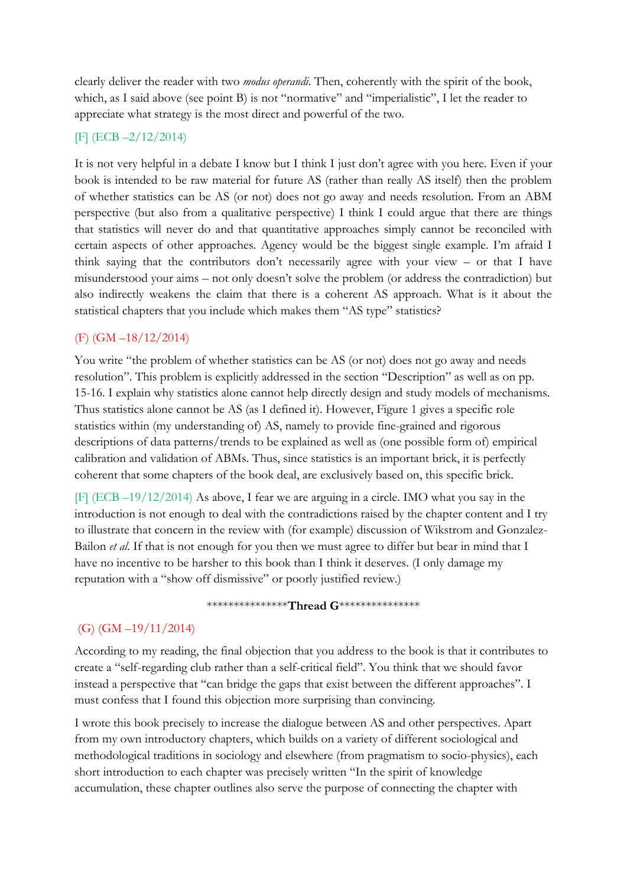clearly deliver the reader with two *modus operandi*. Then, coherently with the spirit of the book, which, as I said above (see point B) is not "normative" and "imperialistic", I let the reader to appreciate what strategy is the most direct and powerful of the two.

#### [F] (ECB –2/12/2014)

It is not very helpful in a debate I know but I think I just don't agree with you here. Even if your book is intended to be raw material for future AS (rather than really AS itself) then the problem of whether statistics can be AS (or not) does not go away and needs resolution. From an ABM perspective (but also from a qualitative perspective) I think I could argue that there are things that statistics will never do and that quantitative approaches simply cannot be reconciled with certain aspects of other approaches. Agency would be the biggest single example. I'm afraid I think saying that the contributors don't necessarily agree with your view – or that I have misunderstood your aims – not only doesn't solve the problem (or address the contradiction) but also indirectly weakens the claim that there is a coherent AS approach. What is it about the statistical chapters that you include which makes them "AS type" statistics?

## (F) (GM –18/12/2014)

You write "the problem of whether statistics can be AS (or not) does not go away and needs resolution". This problem is explicitly addressed in the section "Description" as well as on pp. 15-16. I explain why statistics alone cannot help directly design and study models of mechanisms. Thus statistics alone cannot be AS (as I defined it). However, Figure 1 gives a specific role statistics within (my understanding of) AS, namely to provide fine-grained and rigorous descriptions of data patterns/trends to be explained as well as (one possible form of) empirical calibration and validation of ABMs. Thus, since statistics is an important brick, it is perfectly coherent that some chapters of the book deal, are exclusively based on, this specific brick.

[F] (ECB –19/12/2014) As above, I fear we are arguing in a circle. IMO what you say in the introduction is not enough to deal with the contradictions raised by the chapter content and I try to illustrate that concern in the review with (for example) discussion of Wikstrom and Gonzalez-Bailon *et al*. If that is not enough for you then we must agree to differ but bear in mind that I have no incentive to be harsher to this book than I think it deserves. (I only damage my reputation with a "show off dismissive" or poorly justified review.)

#### \*\*\*\*\*\*\*\*\*\*\*\*\*\*\***Thread G**\*\*\*\*\*\*\*\*\*\*\*\*\*\*\*

## (G) (GM –19/11/2014)

According to my reading, the final objection that you address to the book is that it contributes to create a "self-regarding club rather than a self-critical field". You think that we should favor instead a perspective that "can bridge the gaps that exist between the different approaches". I must confess that I found this objection more surprising than convincing.

I wrote this book precisely to increase the dialogue between AS and other perspectives. Apart from my own introductory chapters, which builds on a variety of different sociological and methodological traditions in sociology and elsewhere (from pragmatism to socio-physics), each short introduction to each chapter was precisely written "In the spirit of knowledge accumulation, these chapter outlines also serve the purpose of connecting the chapter with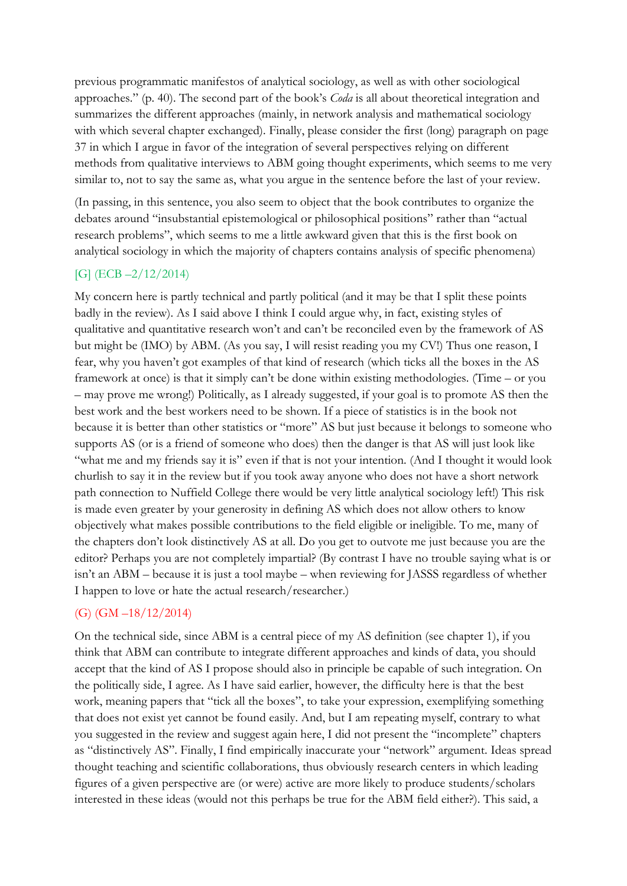previous programmatic manifestos of analytical sociology, as well as with other sociological approaches." (p. 40). The second part of the book's *Coda* is all about theoretical integration and summarizes the different approaches (mainly, in network analysis and mathematical sociology with which several chapter exchanged). Finally, please consider the first (long) paragraph on page 37 in which I argue in favor of the integration of several perspectives relying on different methods from qualitative interviews to ABM going thought experiments, which seems to me very similar to, not to say the same as, what you argue in the sentence before the last of your review.

(In passing, in this sentence, you also seem to object that the book contributes to organize the debates around "insubstantial epistemological or philosophical positions" rather than "actual research problems", which seems to me a little awkward given that this is the first book on analytical sociology in which the majority of chapters contains analysis of specific phenomena)

## [G] (ECB –2/12/2014)

My concern here is partly technical and partly political (and it may be that I split these points badly in the review). As I said above I think I could argue why, in fact, existing styles of qualitative and quantitative research won't and can't be reconciled even by the framework of AS but might be (IMO) by ABM. (As you say, I will resist reading you my CV!) Thus one reason, I fear, why you haven't got examples of that kind of research (which ticks all the boxes in the AS framework at once) is that it simply can't be done within existing methodologies. (Time – or you – may prove me wrong!) Politically, as I already suggested, if your goal is to promote AS then the best work and the best workers need to be shown. If a piece of statistics is in the book not because it is better than other statistics or "more" AS but just because it belongs to someone who supports AS (or is a friend of someone who does) then the danger is that AS will just look like "what me and my friends say it is" even if that is not your intention. (And I thought it would look churlish to say it in the review but if you took away anyone who does not have a short network path connection to Nuffield College there would be very little analytical sociology left!) This risk is made even greater by your generosity in defining AS which does not allow others to know objectively what makes possible contributions to the field eligible or ineligible. To me, many of the chapters don't look distinctively AS at all. Do you get to outvote me just because you are the editor? Perhaps you are not completely impartial? (By contrast I have no trouble saying what is or isn't an ABM – because it is just a tool maybe – when reviewing for JASSS regardless of whether I happen to love or hate the actual research/researcher.)

# $(G)$  (GM  $-18/12/2014$ )

On the technical side, since ABM is a central piece of my AS definition (see chapter 1), if you think that ABM can contribute to integrate different approaches and kinds of data, you should accept that the kind of AS I propose should also in principle be capable of such integration. On the politically side, I agree. As I have said earlier, however, the difficulty here is that the best work, meaning papers that "tick all the boxes", to take your expression, exemplifying something that does not exist yet cannot be found easily. And, but I am repeating myself, contrary to what you suggested in the review and suggest again here, I did not present the "incomplete" chapters as "distinctively AS". Finally, I find empirically inaccurate your "network" argument. Ideas spread thought teaching and scientific collaborations, thus obviously research centers in which leading figures of a given perspective are (or were) active are more likely to produce students/scholars interested in these ideas (would not this perhaps be true for the ABM field either?). This said, a